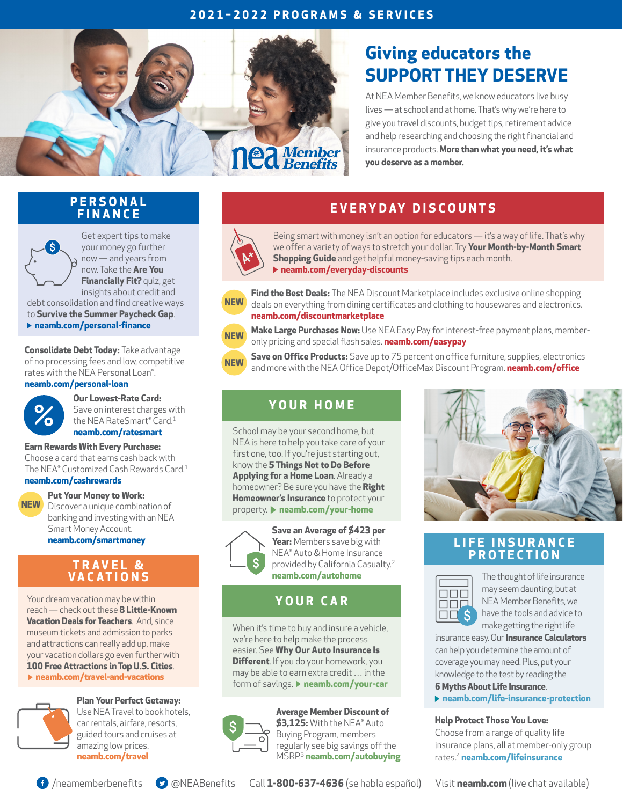## **2021–2022 PROGRAMS & SERVICES**



# **Giving educators the SUPPORT THEY DESERVE**

At NEA Member Benefits, we know educators live busy lives — at school and at home. That's why we're here to give you travel discounts, budget tips, retirement advice and help researching and choosing the right financial and insurance products. **More than what you need, it's what you deserve as a member.**

## **P E R S O N A L FINANCE**



Get expert tips to make your money go further now — and years from now. Take the **[Are You](https://www.neamb.com/Personal-Finance/Are-You-Financially-Fit-Take-the-Quiz?utm_source=SOCO-002&utm_medium=psflyer&utm_content=financially-fit&utm_campaign=SOCO0616)  [Financially Fit?](https://www.neamb.com/Personal-Finance/Are-You-Financially-Fit-Take-the-Quiz?utm_source=SOCO-002&utm_medium=psflyer&utm_content=financially-fit&utm_campaign=SOCO0616)** quiz, get insights about credit and

debt consolidation and find creative ways to **[Survive the Summer Paycheck Gap](https://www.neamb.com/Personal-Finance/How-to-Survive-the-Summer-Paycheck-Gap?utm_source=SOCO-002&utm_medium=psflyer&utm_content=summer-paycheck&utm_campaign=SOCO0616)**. **[neamb.com/personal-finance](https://www.neamb.com/personal-finance?utm_source=SOCO-002&utm_medium=psflyer&utm_content=personal-finance&utm_campaign=SOCO0616)**

**Consolidate Debt Today:** Take advantage of no processing fees and low, competitive rates with the NEA Personal Loan®. **[neamb.com/personal-loan](https://www.neamb.com/Products/NEA-Personal-Loan-More-Than-5K?utm_source=SOCO-002&utm_medium=psflyer&utm_content=personal-loan&utm_campaign=SOCO0616)**

**Our Lowest-Rate Card:**  Save on interest charges with the NEA RateSmart® Card.<sup>1</sup> **[neamb.com/ratesmart](https://www.neamb.com/Products/The-NEA-RateSmart-Card?utm_source=SOCO-002&utm_medium=psflyer&utm_content=ratesmart&utm_campaign=SOCO0616)** 

### **Earn Rewards With Every Purchase:**

Choose a card that earns cash back with The NEA® Customized Cash Rewards Card.<sup>1</sup> **[neamb.com/cashrewards](https://www.neamb.com/products/nea-cash-rewards-card?utm_source=SOCO-002&utm_medium=psflyer&utm_content=cashrewards&utm_campaign=SOCO0616)**

### **Put Your Money to Work:**

Discover a unique combination of banking and investing with an NEA Smart Money Account. **[neamb.com/smartmoney](https://www.neamb.com/products/nea-smart-money-account?utm_source=SOCO-002&utm_medium=psflyer&utm_content=smartmoney&utm_campaign=SOCO0616)**

## **T R A V E L & VACATIONS**

Your dream vacation may be within reach — check out these **[8 Little-Known](https://www.neamb.com/travel-and-vacations/8-littleknown-vacation-deals-for-teachers?utm_source=SOCO-002&utm_medium=psflyer&utm_content=travel-deals&utm_campaign=SOCO0616)  [Vacation Deals for Teachers](https://www.neamb.com/travel-and-vacations/8-littleknown-vacation-deals-for-teachers?utm_source=SOCO-002&utm_medium=psflyer&utm_content=travel-deals&utm_campaign=SOCO0616)**. And, since museum tickets and admission to parks and attractions can really add up, make your vacation dollars go even further with **[100 Free Attractions in Top U.S. Cities](https://www.neamb.com/travel-and-vacations/100-free-attractions-in-top-us-cities?utm_source=SOCO-002&utm_medium=psflyer&utm_content=free-attractions&utm_campaign=SOCO0616)**.

**[neamb.com/travel-and-vacations](https://www.neamb.com/travel-and-vacations?utm_source=SOCO-002&utm_medium=psflyer&utm_content=travel-and-vacations&utm_campaign=SOCO0616)**

#### **Plan Your Perfect Getaway:**



**NEW**

Use NEA Travel to book hotels, car rentals, airfare, resorts, guided tours and cruises at amazing low prices. **[neamb.com/travel](https://www.neamb.com/products/nea-travel?utm_source=SOCO-002&utm_medium=psflyer&utm_content=travel&utm_campaign=SOCO0616)** 

## **E V E RY DAY D I S C O U N T S**



Being smart with money isn't an option for educators — it's a way of life. That's why we offer a variety of ways to stretch your dollar. Try **[Your Month-by-Month Smart](https://www.neamb.com/personal-finance/your-month-by-month-smart-shopping-guide?utm_source=SOCO-002&utm_medium=psflyer&utm_content=smart-shopping&utm_campaign=SOCO0616)  [Shopping Guide](https://www.neamb.com/personal-finance/your-month-by-month-smart-shopping-guide?utm_source=SOCO-002&utm_medium=psflyer&utm_content=smart-shopping&utm_campaign=SOCO0616)** and get helpful money-saving tips each month. **[neamb.com/everyday-discounts](https://www.neamb.com/shopping-discounts?utm_source=SOCO-002&utm_medium=psflyer&utm_content=everyday-discounts&utm_campaign=SOCO0616)**



**Find the Best Deals:** The NEA Discount Marketplace includes exclusive online shopping deals on everything from dining certificates and clothing to housewares and electronics. **[neamb.com/discountmarketplace](https://www.neamb.com/products/nea-discount-marketplace?utm_source=SOCO-002&utm_medium=psflyer&utm_content=discountmarketplace&utm_campaign=SOCO0616)**



**Make Large Purchases Now:** Use NEA Easy Pay for interest-free payment plans, memberonly pricing and special flash sales. **[neamb.com/easypay](https://www.neamb.com/products/nea-easy-pay-powered-by-square-deal-market?utm_source=SOCO-002&utm_medium=psflyer&utm_content=easypay&utm_campaign=SOCO0616)**



**Save on Office Products:** Save up to 75 percent on office furniture, supplies, electronics and more with the NEA Office Depot/OfficeMax Discount Program. **[neamb.com/office](https://www.neamb.com/products/nea-office-depot-officemax-discount-program?utm_source=SOCO-002&utm_medium=psflyer&utm_content=office&utm_campaign=SOCO0616)**

## **Y O U R H O M E**

School may be your second home, but NEA is here to help you take care of your first one, too. If you're just starting out, know the **[5 Things Not to Do Before](https://www.neamb.com/Your-Home/5-Things-Not-To-Do-Before-Applying-For-a-Home-Loan?utm_source=SOCO-002&utm_medium=psflyer&utm_content=home-loan&utm_campaign=SOCO0616)  [Applying for a Home Loan](https://www.neamb.com/Your-Home/5-Things-Not-To-Do-Before-Applying-For-a-Home-Loan?utm_source=SOCO-002&utm_medium=psflyer&utm_content=home-loan&utm_campaign=SOCO0616)**. Already a homeowner? Be sure you have the **[Right](https://www.neamb.com/Your-Home/Do-You-Have-the-Right-Homeowners-Insurance-Coverage?utm_source=SOCO-002&utm_medium=psflyer&utm_content=home-coverage&utm_campaign=SOCO0616)  [Homeowner's Insurance](https://www.neamb.com/Your-Home/Do-You-Have-the-Right-Homeowners-Insurance-Coverage?utm_source=SOCO-002&utm_medium=psflyer&utm_content=home-coverage&utm_campaign=SOCO0616)** to protect your property. **[neamb.com/your-home](https://www.neamb.com/your-home?utm_source=SOCO-002&utm_medium=psflyer&utm_content=your-home&utm_campaign=SOCO0616)**



**Save an Average of \$423 per Year:** Members save big with NEA® Auto & Home Insurance provided by California Casualty.<sup>2</sup> **[neamb.com/autohome](https://www.neamb.com/products/nea-auto-and-home-insurance-program?utm_source=SOCO-002&utm_medium=psflyer&utm_content=autohome&utm_campaign=SOCO0616)**

## **YOUR CAR**

When it's time to buy and insure a vehicle, we're here to help make the process easier. See **[Why Our Auto Insurance Is](https://www.neamb.com/Your-Car/Why-Our-Auto-Insurance-Program-Is-Different?utm_source=SOCO-002&utm_medium=psflyer&utm_content=save-on-auto&utm_campaign=SOCO0616)  [Different](https://www.neamb.com/Your-Car/Why-Our-Auto-Insurance-Program-Is-Different?utm_source=SOCO-002&utm_medium=psflyer&utm_content=save-on-auto&utm_campaign=SOCO0616)**. If you do your homework, you may be able to earn extra credit … in the form of savings. **P** [neamb.com/your-car](https://www.neamb.com/your-car?utm_source=SOCO-002&utm_medium=psflyer&utm_content=your-car&utm_campaign=SOCO0616)



**Average Member Discount of \$3,125:** With the NEA® Auto Buying Program, members regularly see big savings off the MSRP.<sup>3</sup> **[neamb.com/autobuying](https://www.neamb.com/products/nea-auto-buying-program?utm_source=SOCO-002&utm_medium=psflyer&utm_content=autobuying&utm_campaign=SOCO0616)**



## **L I F E I N S U R A N C E PROTECTION**



The thought of life insurance may seem daunting, but at NEA Member Benefits, we have the tools and advice to make getting the right life

insurance easy. Our **[Insurance Calculators](https://www.neamb.com/family-and-wellness/tools/how-much-life-insurance-do-i-need?utm_source=SOCO-002&utm_medium=psflyer&utm_content=how-much&utm_campaign=SOCO0616)** can help you determine the amount of coverage you may need. Plus, put your knowledge to the test by reading the **[6 Myths About Life Insurance](https://www.neamb.com/Life-Insurance-Protection/Six-Myths-About-Life-Insurance?utm_source=SOCO-002&utm_medium=psflyer&utm_content=insurance-myths&utm_campaign=SOCO0616)**.

**[neamb.com/life-insurance-protection](https://www.neamb.com/life-insurance-protection?utm_source=SOCO-002&utm_medium=psflyer&utm_content=life-insurance-protection&utm_campaign=SOCO0616)**

#### **Help Protect Those You Love:**

Choose from a range of quality life insurance plans, all at member-only group rates.<sup>4</sup> **[neamb.com/lifeinsurance](https://www.neamb.com/products/life-insurance?utm_source=SOCO-002&utm_medium=psflyer&utm_content=lifeinsurance&utm_campaign=SOCO0616)**



[/neamemberbenefits](https://www.facebook.com/NEAMemberBenefits/?utm_source=SOCO-002&utm_medium=psflyer&utm_content=facebook&utm_campaign=SOCO0616)[@NEABenefits](https://twitter.com/neabenefits?utm_source=SOCO-002&utm_medium=psflyer&utm_content=twitter&utm_campaign=SOCO0616)

Call **1-800-637-4636** (se habla español) Visit **[neamb.com](https://www.neamb.com?utm_source=SOCO-002&utm_medium=psflyer&utm_content=neamb-website&utm_campaign=SOCO0616)** (live chat available)